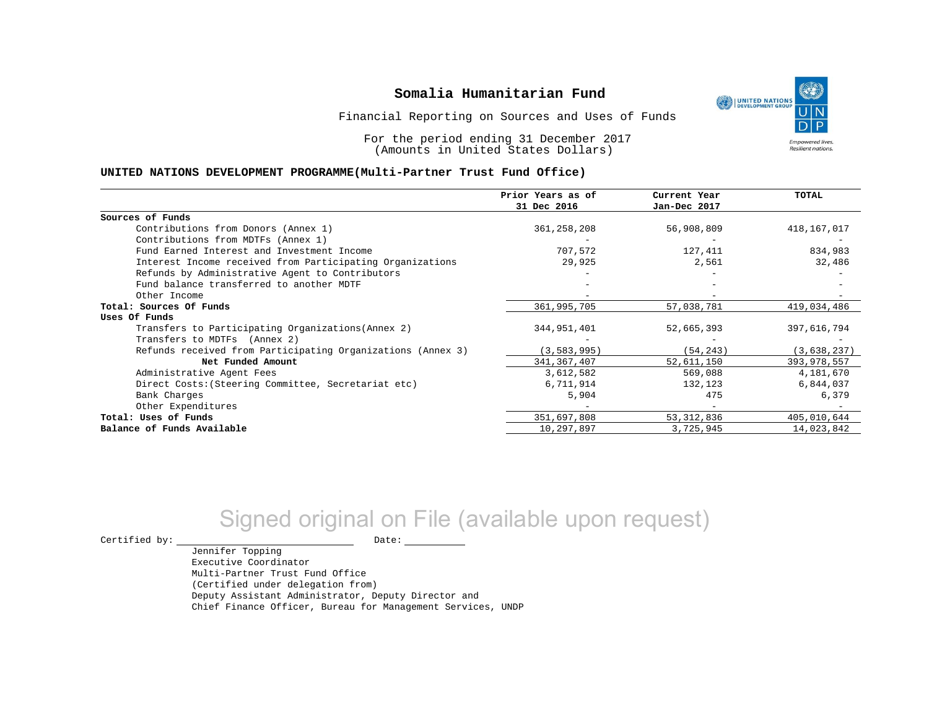UNITED NATIONS **Empowered lives** Resilient nations.

Financial Reporting on Sources and Uses of Funds

For the period ending 31 December 2017 (Amounts in United States Dollars)

#### **UNITED NATIONS DEVELOPMENT PROGRAMME(Multi-Partner Trust Fund Office)**

|                                                             | Prior Years as of | Current Year | <b>TOTAL</b> |
|-------------------------------------------------------------|-------------------|--------------|--------------|
|                                                             | 31 Dec 2016       | Jan-Dec 2017 |              |
| Sources of Funds                                            |                   |              |              |
| Contributions from Donors (Annex 1)                         | 361, 258, 208     | 56,908,809   | 418,167,017  |
| Contributions from MDTFs (Annex 1)                          |                   |              |              |
| Fund Earned Interest and Investment Income                  | 707,572           | 127,411      | 834,983      |
| Interest Income received from Participating Organizations   | 29,925            | 2,561        | 32,486       |
| Refunds by Administrative Agent to Contributors             |                   |              |              |
| Fund balance transferred to another MDTF                    |                   |              |              |
| Other Income                                                |                   |              |              |
| Total: Sources Of Funds                                     | 361,995,705       | 57,038,781   | 419,034,486  |
| Uses Of Funds                                               |                   |              |              |
| Transfers to Participating Organizations (Annex 2)          | 344,951,401       | 52,665,393   | 397,616,794  |
| Transfers to MDTFs (Annex 2)                                |                   |              |              |
| Refunds received from Participating Organizations (Annex 3) | (3, 583, 995)     | (54, 243)    | (3,638,237)  |
| Net Funded Amount                                           | 341, 367, 407     | 52,611,150   | 393,978,557  |
| Administrative Agent Fees                                   | 3,612,582         | 569,088      | 4,181,670    |
| Direct Costs: (Steering Committee, Secretariat etc)         | 6,711,914         | 132,123      | 6,844,037    |
| Bank Charges                                                | 5,904             | 475          | 6,379        |
| Other Expenditures                                          |                   |              |              |
| Total: Uses of Funds                                        | 351,697,808       | 53, 312, 836 | 405,010,644  |
| Balance of Funds Available                                  | 10,297,897        | 3,725,945    | 14,023,842   |

# Signed original on File (available upon request)

 $\begin{picture}(180,180)(0,0) \put(0,0){\vector(1,0){180}} \put(15,0){\vector(1,0){180}} \put(15,0){\vector(1,0){180}} \put(15,0){\vector(1,0){180}} \put(15,0){\vector(1,0){180}} \put(15,0){\vector(1,0){180}} \put(15,0){\vector(1,0){180}} \put(15,0){\vector(1,0){180}} \put(15,0){\vector(1,0){180}} \put(15,0){\vector(1,0){180}} \put(15,0){\vector(1,0$ 

Jennifer Topping Executive Coordinator Multi-Partner Trust Fund Office (Certified under delegation from) Deputy Assistant Administrator, Deputy Director and Chief Finance Officer, Bureau for Management Services, UNDP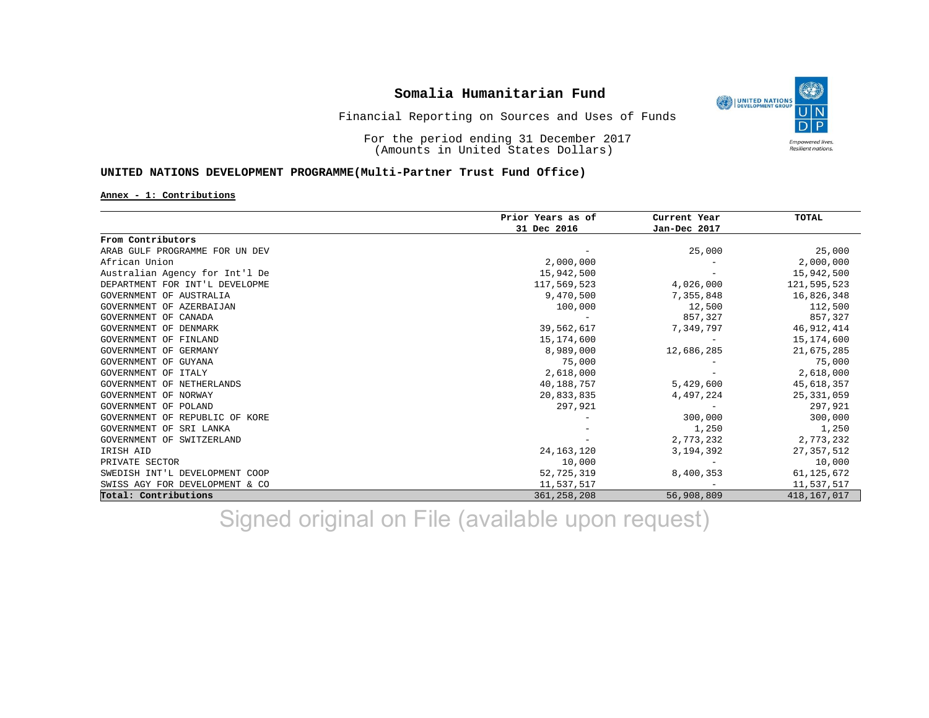

Financial Reporting on Sources and Uses of Funds

For the period ending 31 December 2017 (Amounts in United States Dollars)

### **UNITED NATIONS DEVELOPMENT PROGRAMME(Multi-Partner Trust Fund Office)**

#### **Annex - 1: Contributions**

|                                | Prior Years as of | Current Year | <b>TOTAL</b>  |
|--------------------------------|-------------------|--------------|---------------|
|                                | 31 Dec 2016       | Jan-Dec 2017 |               |
| From Contributors              |                   |              |               |
| ARAB GULF PROGRAMME FOR UN DEV |                   | 25,000       | 25,000        |
| African Union                  | 2,000,000         |              | 2,000,000     |
| Australian Agency for Int'l De | 15,942,500        |              | 15,942,500    |
| DEPARTMENT FOR INT'L DEVELOPME | 117,569,523       | 4,026,000    | 121,595,523   |
| GOVERNMENT OF AUSTRALIA        | 9,470,500         | 7,355,848    | 16,826,348    |
| GOVERNMENT OF AZERBAIJAN       | 100,000           | 12,500       | 112,500       |
| GOVERNMENT OF CANADA           |                   | 857,327      | 857,327       |
| GOVERNMENT OF DENMARK          | 39,562,617        | 7,349,797    | 46,912,414    |
| GOVERNMENT OF FINLAND          | 15,174,600        |              | 15,174,600    |
| GOVERNMENT OF GERMANY          | 8,989,000         | 12,686,285   | 21,675,285    |
| GOVERNMENT OF GUYANA           | 75,000            |              | 75,000        |
| GOVERNMENT OF ITALY            | 2,618,000         |              | 2,618,000     |
| GOVERNMENT OF NETHERLANDS      | 40,188,757        | 5,429,600    | 45,618,357    |
| GOVERNMENT OF NORWAY           | 20,833,835        | 4,497,224    | 25, 331, 059  |
| GOVERNMENT OF POLAND           | 297,921           |              | 297,921       |
| GOVERNMENT OF REPUBLIC OF KORE |                   | 300,000      | 300,000       |
| GOVERNMENT OF SRI LANKA        |                   | 1,250        | 1,250         |
| GOVERNMENT OF SWITZERLAND      |                   | 2,773,232    | 2,773,232     |
| IRISH AID                      | 24, 163, 120      | 3,194,392    | 27,357,512    |
| PRIVATE SECTOR                 | 10,000            |              | 10,000        |
| SWEDISH INT'L DEVELOPMENT COOP | 52,725,319        | 8,400,353    | 61, 125, 672  |
| SWISS AGY FOR DEVELOPMENT & CO | 11,537,517        |              | 11,537,517    |
| Total: Contributions           | 361, 258, 208     | 56,908,809   | 418, 167, 017 |

Signed original on File (available upon request)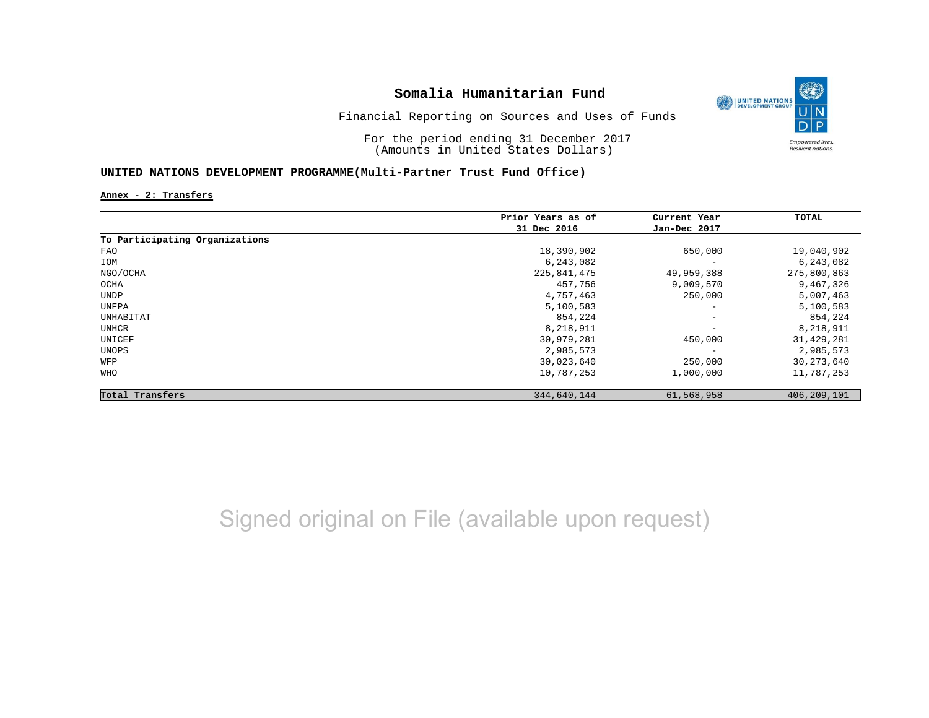

Financial Reporting on Sources and Uses of Funds

For the period ending 31 December 2017 (Amounts in United States Dollars)

### **UNITED NATIONS DEVELOPMENT PROGRAMME(Multi-Partner Trust Fund Office)**

**Annex - 2: Transfers**

|                                | Prior Years as of | Current Year             | TOTAL         |
|--------------------------------|-------------------|--------------------------|---------------|
|                                | 31 Dec 2016       | Jan-Dec 2017             |               |
| To Participating Organizations |                   |                          |               |
| FAO                            | 18,390,902        | 650,000                  | 19,040,902    |
| IOM                            | 6,243,082         | $\overline{\phantom{a}}$ | 6,243,082     |
| NGO/OCHA                       | 225,841,475       | 49,959,388               | 275,800,863   |
| OCHA                           | 457,756           | 9,009,570                | 9,467,326     |
| UNDP                           | 4,757,463         | 250,000                  | 5,007,463     |
| UNFPA                          | 5,100,583         | $\overline{\phantom{a}}$ | 5,100,583     |
| UNHABITAT                      | 854,224           | $\qquad \qquad -$        | 854,224       |
| UNHCR                          | 8,218,911         | $\qquad \qquad -$        | 8,218,911     |
| UNICEF                         | 30,979,281        | 450,000                  | 31,429,281    |
| UNOPS                          | 2,985,573         |                          | 2,985,573     |
| WFP                            | 30,023,640        | 250,000                  | 30, 273, 640  |
| WHO                            | 10,787,253        | 1,000,000                | 11,787,253    |
| Total Transfers                | 344,640,144       | 61,568,958               | 406, 209, 101 |

Signed original on File (available upon request)